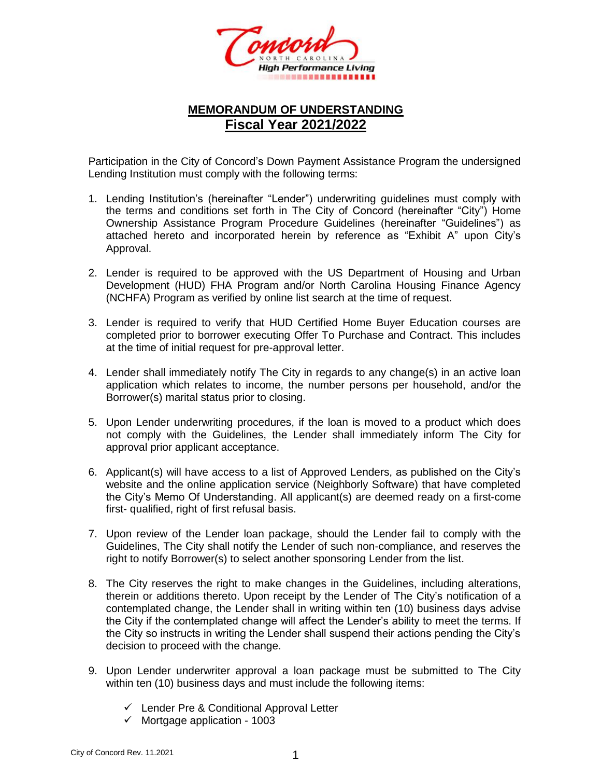

## **MEMORANDUM OF UNDERSTANDING Fiscal Year 2021/2022**

Participation in the City of Concord's Down Payment Assistance Program the undersigned Lending Institution must comply with the following terms:

- 1. Lending Institution's (hereinafter "Lender") underwriting guidelines must comply with the terms and conditions set forth in The City of Concord (hereinafter "City") Home Ownership Assistance Program Procedure Guidelines (hereinafter "Guidelines") as attached hereto and incorporated herein by reference as "Exhibit A" upon City's Approval.
- 2. Lender is required to be approved with the US Department of Housing and Urban Development (HUD) FHA Program and/or North Carolina Housing Finance Agency (NCHFA) Program as verified by online list search at the time of request.
- 3. Lender is required to verify that HUD Certified Home Buyer Education courses are completed prior to borrower executing Offer To Purchase and Contract. This includes at the time of initial request for pre-approval letter.
- 4. Lender shall immediately notify The City in regards to any change(s) in an active loan application which relates to income, the number persons per household, and/or the Borrower(s) marital status prior to closing.
- 5. Upon Lender underwriting procedures, if the loan is moved to a product which does not comply with the Guidelines, the Lender shall immediately inform The City for approval prior applicant acceptance.
- 6. Applicant(s) will have access to a list of Approved Lenders, as published on the City's website and the online application service (Neighborly Software) that have completed the City's Memo Of Understanding. All applicant(s) are deemed ready on a first-come first- qualified, right of first refusal basis.
- 7. Upon review of the Lender loan package, should the Lender fail to comply with the Guidelines, The City shall notify the Lender of such non-compliance, and reserves the right to notify Borrower(s) to select another sponsoring Lender from the list.
- 8. The City reserves the right to make changes in the Guidelines, including alterations, therein or additions thereto. Upon receipt by the Lender of The City's notification of a contemplated change, the Lender shall in writing within ten (10) business days advise the City if the contemplated change will affect the Lender's ability to meet the terms. If the City so instructs in writing the Lender shall suspend their actions pending the City's decision to proceed with the change.
- 9. Upon Lender underwriter approval a loan package must be submitted to The City within ten (10) business days and must include the following items:
	- ✓ Lender Pre & Conditional Approval Letter
	- $\checkmark$  Mortgage application 1003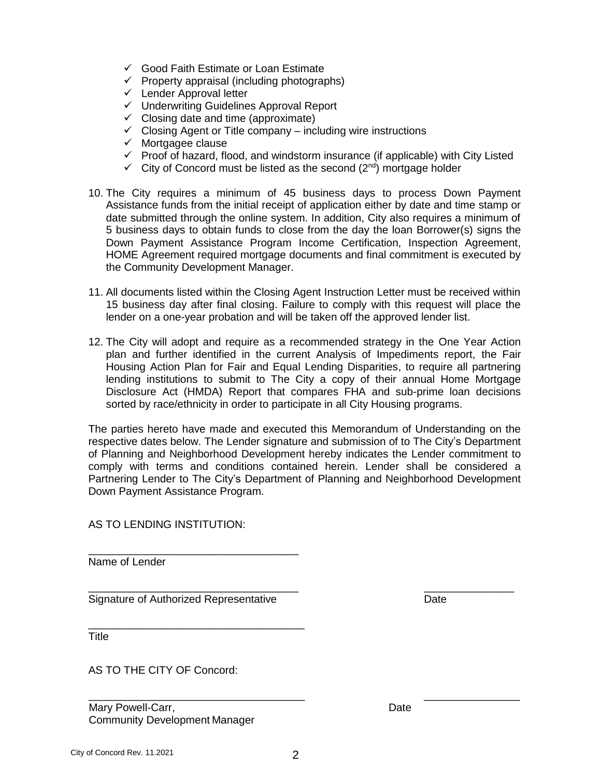- ✓ Good Faith Estimate or Loan Estimate
- $\checkmark$  Property appraisal (including photographs)
- $\checkmark$  Lender Approval letter
- ✓ Underwriting Guidelines Approval Report
- $\checkmark$  Closing date and time (approximate)
- $\checkmark$  Closing Agent or Title company including wire instructions
- ✓ Mortgagee clause
- $\checkmark$  Proof of hazard, flood, and windstorm insurance (if applicable) with City Listed
- $\checkmark$  City of Concord must be listed as the second (2<sup>nd</sup>) mortgage holder
- 10. The City requires a minimum of 45 business days to process Down Payment Assistance funds from the initial receipt of application either by date and time stamp or date submitted through the online system. In addition, City also requires a minimum of 5 business days to obtain funds to close from the day the loan Borrower(s) signs the Down Payment Assistance Program Income Certification, Inspection Agreement, HOME Agreement required mortgage documents and final commitment is executed by the Community Development Manager.
- 11. All documents listed within the Closing Agent Instruction Letter must be received within 15 business day after final closing. Failure to comply with this request will place the lender on a one-year probation and will be taken off the approved lender list.
- 12. The City will adopt and require as a recommended strategy in the One Year Action plan and further identified in the current Analysis of Impediments report, the Fair Housing Action Plan for Fair and Equal Lending Disparities, to require all partnering lending institutions to submit to The City a copy of their annual Home Mortgage Disclosure Act (HMDA) Report that compares FHA and sub-prime loan decisions sorted by race/ethnicity in order to participate in all City Housing programs.

The parties hereto have made and executed this Memorandum of Understanding on the respective dates below. The Lender signature and submission of to The City's Department of Planning and Neighborhood Development hereby indicates the Lender commitment to comply with terms and conditions contained herein. Lender shall be considered a Partnering Lender to The City's Department of Planning and Neighborhood Development Down Payment Assistance Program.

AS TO LENDING INSTITUTION:

\_\_\_\_\_\_\_\_\_\_\_\_\_\_\_\_\_\_\_\_\_\_\_\_\_\_\_\_\_\_\_\_\_\_\_ Name of Lender

\_\_\_\_\_\_\_\_\_\_\_\_\_\_\_\_\_\_\_\_\_\_\_\_\_\_\_\_\_\_\_\_\_\_\_ \_\_\_\_\_\_\_\_\_\_\_\_\_\_\_ Signature of Authorized Representative **Date** Date

\_\_\_\_\_\_\_\_\_\_\_\_\_\_\_\_\_\_\_\_\_\_\_\_\_\_\_\_\_\_\_\_\_\_\_\_

**Title** 

AS TO THE CITY OF Concord:

Mary Powell-Carr, National According to the Date of the Date Community Development Manager

 $\overline{\phantom{a}}$  ,  $\overline{\phantom{a}}$  ,  $\overline{\phantom{a}}$  ,  $\overline{\phantom{a}}$  ,  $\overline{\phantom{a}}$  ,  $\overline{\phantom{a}}$  ,  $\overline{\phantom{a}}$  ,  $\overline{\phantom{a}}$  ,  $\overline{\phantom{a}}$  ,  $\overline{\phantom{a}}$  ,  $\overline{\phantom{a}}$  ,  $\overline{\phantom{a}}$  ,  $\overline{\phantom{a}}$  ,  $\overline{\phantom{a}}$  ,  $\overline{\phantom{a}}$  ,  $\overline{\phantom{a}}$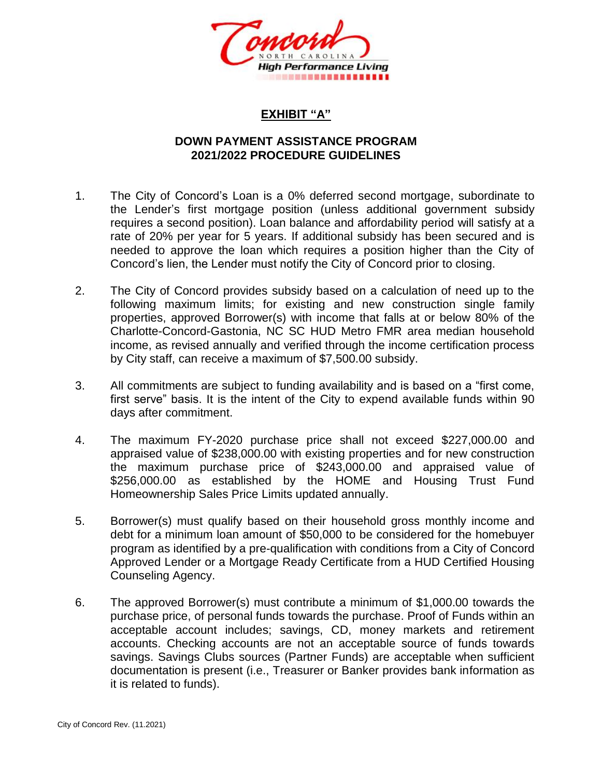

## **EXHIBIT "A"**

## **DOWN PAYMENT ASSISTANCE PROGRAM 2021/2022 PROCEDURE GUIDELINES**

- 1. The City of Concord's Loan is a 0% deferred second mortgage, subordinate to the Lender's first mortgage position (unless additional government subsidy requires a second position). Loan balance and affordability period will satisfy at a rate of 20% per year for 5 years. If additional subsidy has been secured and is needed to approve the loan which requires a position higher than the City of Concord's lien, the Lender must notify the City of Concord prior to closing.
- 2. The City of Concord provides subsidy based on a calculation of need up to the following maximum limits; for existing and new construction single family properties, approved Borrower(s) with income that falls at or below 80% of the Charlotte-Concord-Gastonia, NC SC HUD Metro FMR area median household income, as revised annually and verified through the income certification process by City staff, can receive a maximum of \$7,500.00 subsidy.
- 3. All commitments are subject to funding availability and is based on a "first come, first serve" basis. It is the intent of the City to expend available funds within 90 days after commitment.
- 4. The maximum FY-2020 purchase price shall not exceed \$227,000.00 and appraised value of \$238,000.00 with existing properties and for new construction the maximum purchase price of \$243,000.00 and appraised value of \$256,000.00 as established by the HOME and Housing Trust Fund Homeownership Sales Price Limits updated annually.
- 5. Borrower(s) must qualify based on their household gross monthly income and debt for a minimum loan amount of \$50,000 to be considered for the homebuyer program as identified by a pre-qualification with conditions from a City of Concord Approved Lender or a Mortgage Ready Certificate from a HUD Certified Housing Counseling Agency.
- 6. The approved Borrower(s) must contribute a minimum of \$1,000.00 towards the purchase price, of personal funds towards the purchase. Proof of Funds within an acceptable account includes; savings, CD, money markets and retirement accounts. Checking accounts are not an acceptable source of funds towards savings. Savings Clubs sources (Partner Funds) are acceptable when sufficient documentation is present (i.e., Treasurer or Banker provides bank information as it is related to funds).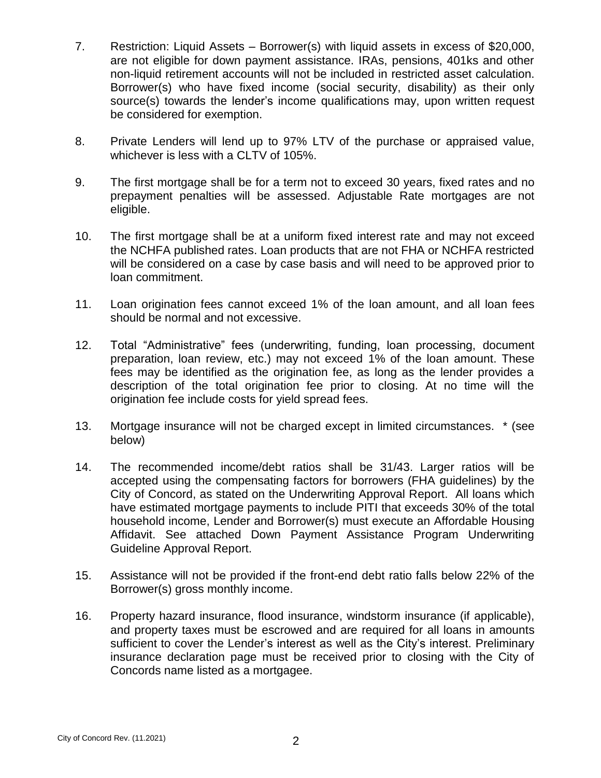- 7. Restriction: Liquid Assets Borrower(s) with liquid assets in excess of \$20,000, are not eligible for down payment assistance. IRAs, pensions, 401ks and other non-liquid retirement accounts will not be included in restricted asset calculation. Borrower(s) who have fixed income (social security, disability) as their only source(s) towards the lender's income qualifications may, upon written request be considered for exemption.
- 8. Private Lenders will lend up to 97% LTV of the purchase or appraised value, whichever is less with a CLTV of 105%.
- 9. The first mortgage shall be for a term not to exceed 30 years, fixed rates and no prepayment penalties will be assessed. Adjustable Rate mortgages are not eligible.
- 10. The first mortgage shall be at a uniform fixed interest rate and may not exceed the NCHFA published rates. Loan products that are not FHA or NCHFA restricted will be considered on a case by case basis and will need to be approved prior to loan commitment.
- 11. Loan origination fees cannot exceed 1% of the loan amount, and all loan fees should be normal and not excessive.
- 12. Total "Administrative" fees (underwriting, funding, loan processing, document preparation, loan review, etc.) may not exceed 1% of the loan amount. These fees may be identified as the origination fee, as long as the lender provides a description of the total origination fee prior to closing. At no time will the origination fee include costs for yield spread fees.
- 13. Mortgage insurance will not be charged except in limited circumstances. \* (see below)
- 14. The recommended income/debt ratios shall be 31/43. Larger ratios will be accepted using the compensating factors for borrowers (FHA guidelines) by the City of Concord, as stated on the Underwriting Approval Report. All loans which have estimated mortgage payments to include PITI that exceeds 30% of the total household income, Lender and Borrower(s) must execute an Affordable Housing Affidavit. See attached Down Payment Assistance Program Underwriting Guideline Approval Report.
- 15. Assistance will not be provided if the front-end debt ratio falls below 22% of the Borrower(s) gross monthly income.
- 16. Property hazard insurance, flood insurance, windstorm insurance (if applicable), and property taxes must be escrowed and are required for all loans in amounts sufficient to cover the Lender's interest as well as the City's interest. Preliminary insurance declaration page must be received prior to closing with the City of Concords name listed as a mortgagee.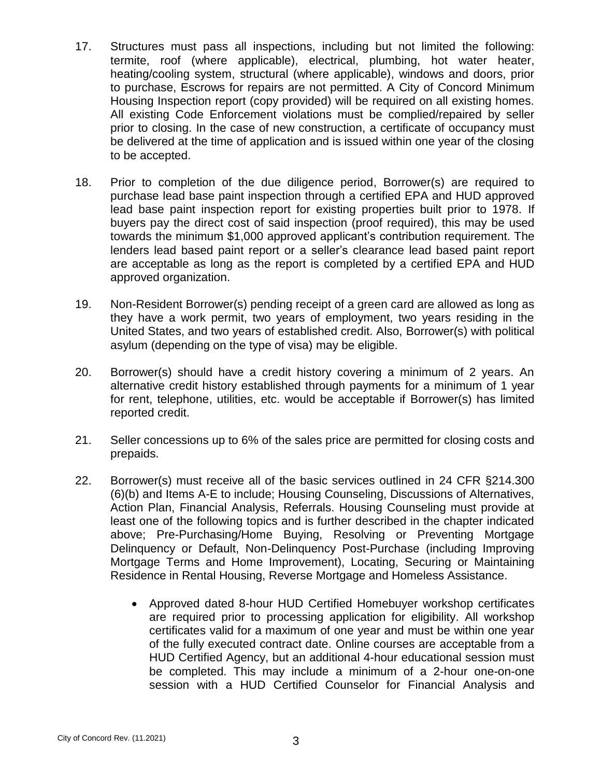- 17. Structures must pass all inspections, including but not limited the following: termite, roof (where applicable), electrical, plumbing, hot water heater, heating/cooling system, structural (where applicable), windows and doors, prior to purchase, Escrows for repairs are not permitted. A City of Concord Minimum Housing Inspection report (copy provided) will be required on all existing homes. All existing Code Enforcement violations must be complied/repaired by seller prior to closing. In the case of new construction, a certificate of occupancy must be delivered at the time of application and is issued within one year of the closing to be accepted.
- 18. Prior to completion of the due diligence period, Borrower(s) are required to purchase lead base paint inspection through a certified EPA and HUD approved lead base paint inspection report for existing properties built prior to 1978. If buyers pay the direct cost of said inspection (proof required), this may be used towards the minimum \$1,000 approved applicant's contribution requirement. The lenders lead based paint report or a seller's clearance lead based paint report are acceptable as long as the report is completed by a certified EPA and HUD approved organization.
- 19. Non-Resident Borrower(s) pending receipt of a green card are allowed as long as they have a work permit, two years of employment, two years residing in the United States, and two years of established credit. Also, Borrower(s) with political asylum (depending on the type of visa) may be eligible.
- 20. Borrower(s) should have a credit history covering a minimum of 2 years. An alternative credit history established through payments for a minimum of 1 year for rent, telephone, utilities, etc. would be acceptable if Borrower(s) has limited reported credit.
- 21. Seller concessions up to 6% of the sales price are permitted for closing costs and prepaids.
- 22. Borrower(s) must receive all of the basic services outlined in 24 CFR §214.300 (6)(b) and Items A-E to include; Housing Counseling, Discussions of Alternatives, Action Plan, Financial Analysis, Referrals. Housing Counseling must provide at least one of the following topics and is further described in the chapter indicated above; Pre-Purchasing/Home Buying, Resolving or Preventing Mortgage Delinquency or Default, Non-Delinquency Post-Purchase (including Improving Mortgage Terms and Home Improvement), Locating, Securing or Maintaining Residence in Rental Housing, Reverse Mortgage and Homeless Assistance.
	- Approved dated 8-hour HUD Certified Homebuyer workshop certificates are required prior to processing application for eligibility. All workshop certificates valid for a maximum of one year and must be within one year of the fully executed contract date. Online courses are acceptable from a HUD Certified Agency, but an additional 4-hour educational session must be completed. This may include a minimum of a 2-hour one-on-one session with a HUD Certified Counselor for Financial Analysis and